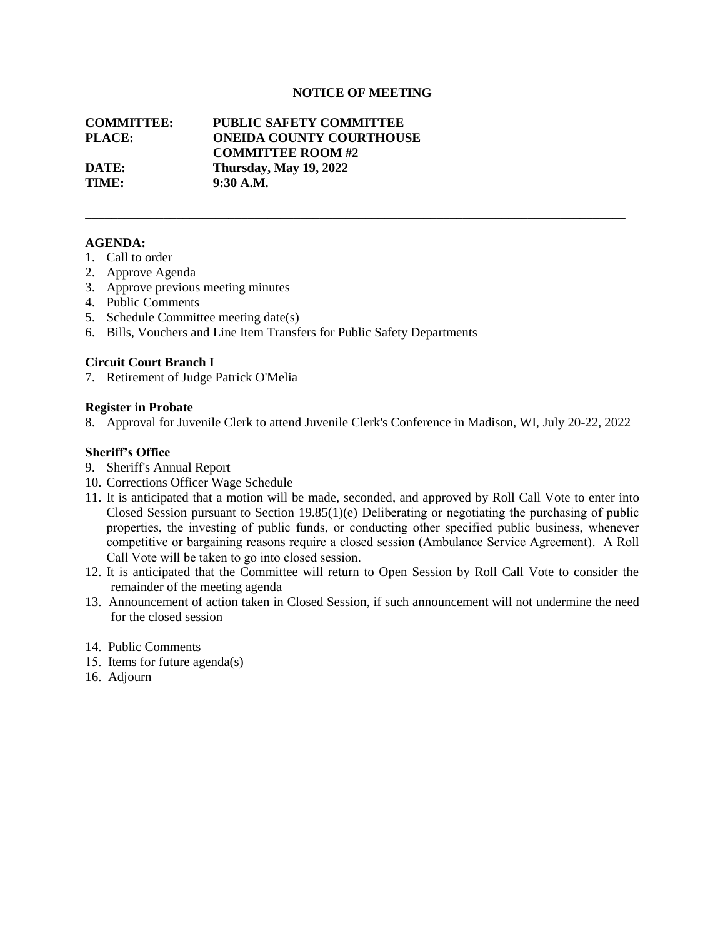# **NOTICE OF MEETING**

**\_\_\_\_\_\_\_\_\_\_\_\_\_\_\_\_\_\_\_\_\_\_\_\_\_\_\_\_\_\_\_\_\_\_\_\_\_\_\_\_\_\_\_\_\_\_\_\_\_\_\_\_\_\_\_\_\_\_\_\_\_\_\_\_\_\_\_\_\_\_\_\_\_\_\_\_\_\_\_\_\_\_\_**

# **COMMITTEE: PUBLIC SAFETY COMMITTEE PLACE: ONEIDA COUNTY COURTHOUSE COMMITTEE ROOM #2 DATE: Thursday, May 19, 2022 TIME: 9:30 A.M.**

## **AGENDA:**

- 1. Call to order
- 2. Approve Agenda
- 3. Approve previous meeting minutes
- 4. Public Comments
- 5. Schedule Committee meeting date(s)
- 6. Bills, Vouchers and Line Item Transfers for Public Safety Departments

## **Circuit Court Branch I**

7. Retirement of Judge Patrick O'Melia

## **Register in Probate**

8. Approval for Juvenile Clerk to attend Juvenile Clerk's Conference in Madison, WI, July 20-22, 2022

# **Sheriff's Office**

- 9. Sheriff's Annual Report
- 10. Corrections Officer Wage Schedule
- 11. It is anticipated that a motion will be made, seconded, and approved by Roll Call Vote to enter into Closed Session pursuant to Section 19.85(1)(e) Deliberating or negotiating the purchasing of public properties, the investing of public funds, or conducting other specified public business, whenever competitive or bargaining reasons require a closed session (Ambulance Service Agreement). A Roll Call Vote will be taken to go into closed session.
- 12. It is anticipated that the Committee will return to Open Session by Roll Call Vote to consider the remainder of the meeting agenda
- 13. Announcement of action taken in Closed Session, if such announcement will not undermine the need for the closed session
- 14. Public Comments
- 15. Items for future agenda(s)
- 16. Adjourn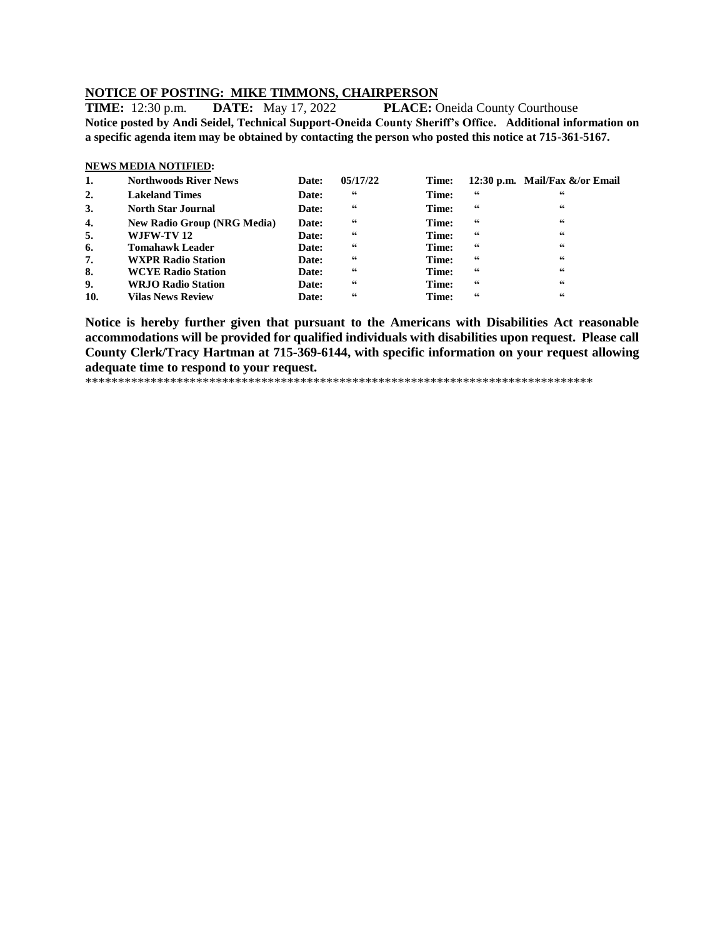# **NOTICE OF POSTING: MIKE TIMMONS, CHAIRPERSON**

**TIME:** 12:30 p.m. **DATE:** May 17, 2022 **PLACE:** Oneida County Courthouse **Notice posted by Andi Seidel, Technical Support-Oneida County Sheriff's Office. Additional information on a specific agenda item may be obtained by contacting the person who posted this notice at 715-361-5167.**

# **NEWS MEDIA NOTIFIED: 1. Northwoods River News Date: 05/17/22 Time: 12:30 p.m. Mail/Fax &/or Email 2. Lakeland Times Date: " Time: " "**

| 3.  | <b>North Star Journal</b>          | <b>Date:</b> | 66 | Time: | 66 | 66 |
|-----|------------------------------------|--------------|----|-------|----|----|
| 4.  | <b>New Radio Group (NRG Media)</b> | Date:        | 66 | Time: | 66 | 66 |
| 5.  | WJFW-TV 12                         | Date:        | 66 | Time: | 66 | 66 |
| 6.  | <b>Tomahawk Leader</b>             | Date:        | 66 | Time: | 66 | 66 |
| 7.  | <b>WXPR Radio Station</b>          | Date:        | 66 | Time: | 66 | 66 |
| 8.  | <b>WCYE Radio Station</b>          | Date:        | 66 | Time: | 66 | 66 |
| 9.  | <b>WRJO Radio Station</b>          | Date:        | 66 | Time: | 66 | 66 |
| 10. | <b>Vilas News Review</b>           | Date:        | 66 | Time: | 66 | 66 |

**Notice is hereby further given that pursuant to the Americans with Disabilities Act reasonable accommodations will be provided for qualified individuals with disabilities upon request. Please call County Clerk/Tracy Hartman at 715-369-6144, with specific information on your request allowing adequate time to respond to your request.**

\*\*\*\*\*\*\*\*\*\*\*\*\*\*\*\*\*\*\*\*\*\*\*\*\*\*\*\*\*\*\*\*\*\*\*\*\*\*\*\*\*\*\*\*\*\*\*\*\*\*\*\*\*\*\*\*\*\*\*\*\*\*\*\*\*\*\*\*\*\*\*\*\*\*\*\*\*\*